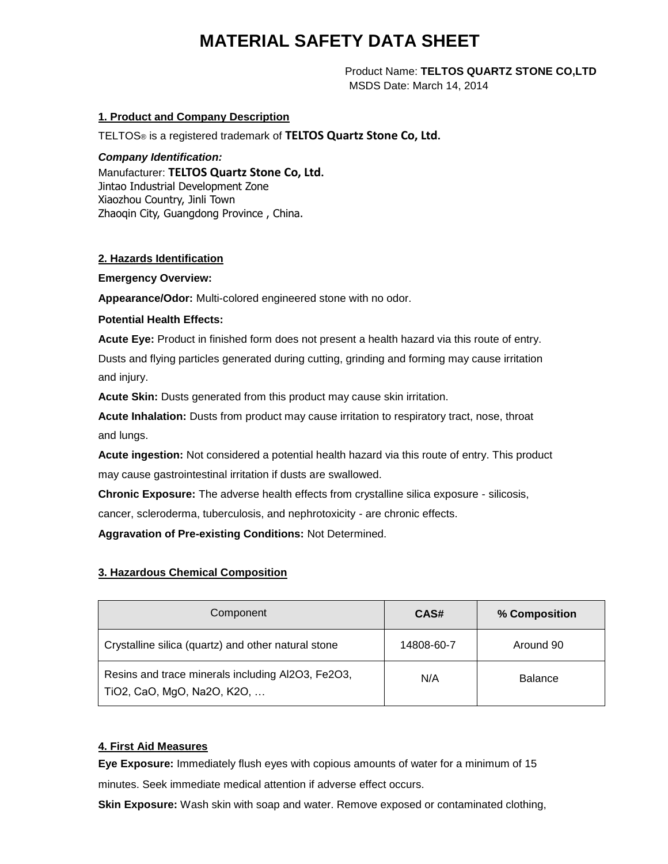# **MATERIAL SAFETY DATA SHEET**

 Product Name: **TELTOS QUARTZ STONE CO,LTD** MSDS Date: March 14, 2014

# **1. Product and Company Description**

TELTOS® is a registered trademark of **TELTOS Quartz Stone Co, Ltd.** 

#### *Company Identification:*

Manufacturer: **TELTOS Quartz Stone Co, Ltd.** Jintao Industrial Development Zone Xiaozhou Country, Jinli Town Zhaoqin City, Guangdong Province , China.

# **2. Hazards Identification**

**Emergency Overview:**

**Appearance/Odor:** Multi-colored engineered stone with no odor.

# **Potential Health Effects:**

**Acute Eye:** Product in finished form does not present a health hazard via this route of entry.

Dusts and flying particles generated during cutting, grinding and forming may cause irritation and injury.

**Acute Skin:** Dusts generated from this product may cause skin irritation.

**Acute Inhalation:** Dusts from product may cause irritation to respiratory tract, nose, throat and lungs.

**Acute ingestion:** Not considered a potential health hazard via this route of entry. This product may cause gastrointestinal irritation if dusts are swallowed.

**Chronic Exposure:** The adverse health effects from crystalline silica exposure - silicosis, cancer, scleroderma, tuberculosis, and nephrotoxicity - are chronic effects.

**Aggravation of Pre-existing Conditions:** Not Determined.

# **3. Hazardous Chemical Composition**

| Component                                                                       | CAS#       | % Composition  |
|---------------------------------------------------------------------------------|------------|----------------|
| Crystalline silica (quartz) and other natural stone                             | 14808-60-7 | Around 90      |
| Resins and trace minerals including Al2O3, Fe2O3,<br>TiO2, CaO, MgO, Na2O, K2O, | N/A        | <b>Balance</b> |

# **4. First Aid Measures**

**Eye Exposure:** Immediately flush eyes with copious amounts of water for a minimum of 15 minutes. Seek immediate medical attention if adverse effect occurs.

**Skin Exposure:** Wash skin with soap and water. Remove exposed or contaminated clothing,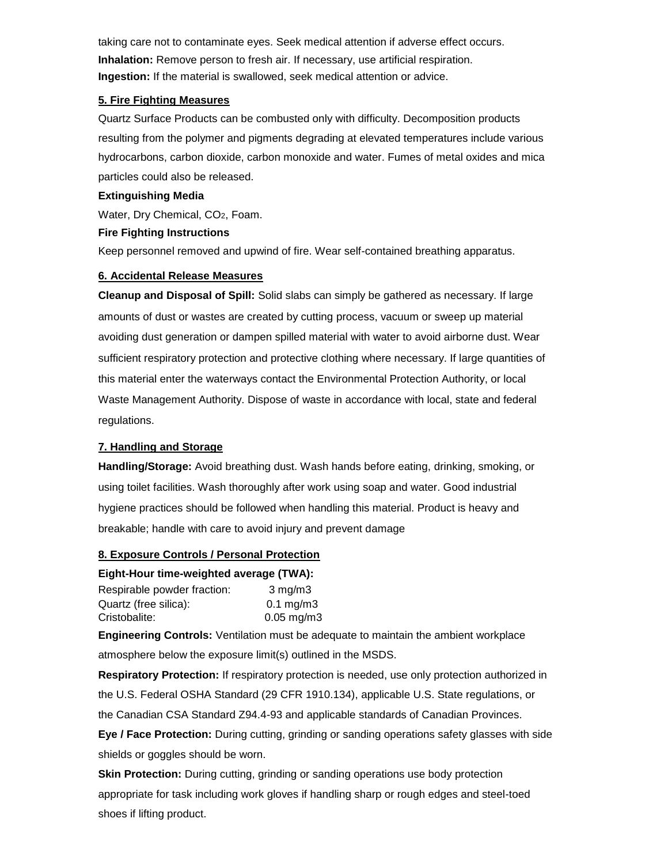taking care not to contaminate eyes. Seek medical attention if adverse effect occurs. **Inhalation:** Remove person to fresh air. If necessary, use artificial respiration. **Ingestion:** If the material is swallowed, seek medical attention or advice.

#### **5. Fire Fighting Measures**

Quartz Surface Products can be combusted only with difficulty. Decomposition products resulting from the polymer and pigments degrading at elevated temperatures include various hydrocarbons, carbon dioxide, carbon monoxide and water. Fumes of metal oxides and mica particles could also be released.

#### **Extinguishing Media**

Water, Dry Chemical, CO2, Foam.

# **Fire Fighting Instructions**

Keep personnel removed and upwind of fire. Wear self-contained breathing apparatus.

# **6. Accidental Release Measures**

**Cleanup and Disposal of Spill:** Solid slabs can simply be gathered as necessary. If large amounts of dust or wastes are created by cutting process, vacuum or sweep up material avoiding dust generation or dampen spilled material with water to avoid airborne dust. Wear sufficient respiratory protection and protective clothing where necessary. If large quantities of this material enter the waterways contact the Environmental Protection Authority, or local Waste Management Authority. Dispose of waste in accordance with local, state and federal regulations.

# **7. Handling and Storage**

**Handling/Storage:** Avoid breathing dust. Wash hands before eating, drinking, smoking, or using toilet facilities. Wash thoroughly after work using soap and water. Good industrial hygiene practices should be followed when handling this material. Product is heavy and breakable; handle with care to avoid injury and prevent damage

# **8. Exposure Controls / Personal Protection**

# **Eight-Hour time-weighted average (TWA):**

| Respirable powder fraction: | $3 \text{ mg/m}$     |
|-----------------------------|----------------------|
| Quartz (free silica):       | $0.1 \text{ mg/m}$ 3 |
| Cristobalite:               | $0.05$ mg/m3         |

**Engineering Controls:** Ventilation must be adequate to maintain the ambient workplace atmosphere below the exposure limit(s) outlined in the MSDS.

**Respiratory Protection:** If respiratory protection is needed, use only protection authorized in the U.S. Federal OSHA Standard (29 CFR 1910.134), applicable U.S. State regulations, or the Canadian CSA Standard Z94.4-93 and applicable standards of Canadian Provinces.

**Eye / Face Protection:** During cutting, grinding or sanding operations safety glasses with side shields or goggles should be worn.

**Skin Protection:** During cutting, grinding or sanding operations use body protection appropriate for task including work gloves if handling sharp or rough edges and steel-toed shoes if lifting product.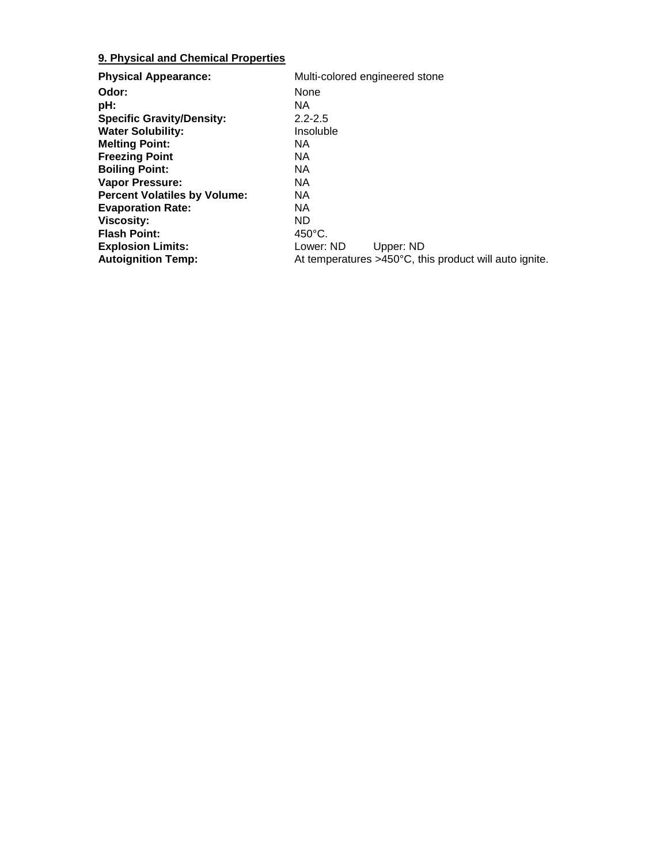# **9. Physical and Chemical Properties**

| <b>Physical Appearance:</b>         | Multi-colored engineered stone                                   |
|-------------------------------------|------------------------------------------------------------------|
| Odor:                               | None                                                             |
| pH:                                 | NA.                                                              |
| <b>Specific Gravity/Density:</b>    | $2.2 - 2.5$                                                      |
| <b>Water Solubility:</b>            | Insoluble                                                        |
| <b>Melting Point:</b>               | NA.                                                              |
| <b>Freezing Point</b>               | NA.                                                              |
| <b>Boiling Point:</b>               | NA.                                                              |
| <b>Vapor Pressure:</b>              | NА                                                               |
| <b>Percent Volatiles by Volume:</b> | NA.                                                              |
| <b>Evaporation Rate:</b>            | NA.                                                              |
| <b>Viscosity:</b>                   | ND.                                                              |
| <b>Flash Point:</b>                 | $450^{\circ}$ C.                                                 |
| <b>Explosion Limits:</b>            | Lower: ND<br>Upper: ND                                           |
| <b>Autoignition Temp:</b>           | At temperatures $>450^{\circ}$ C, this product will auto ignite. |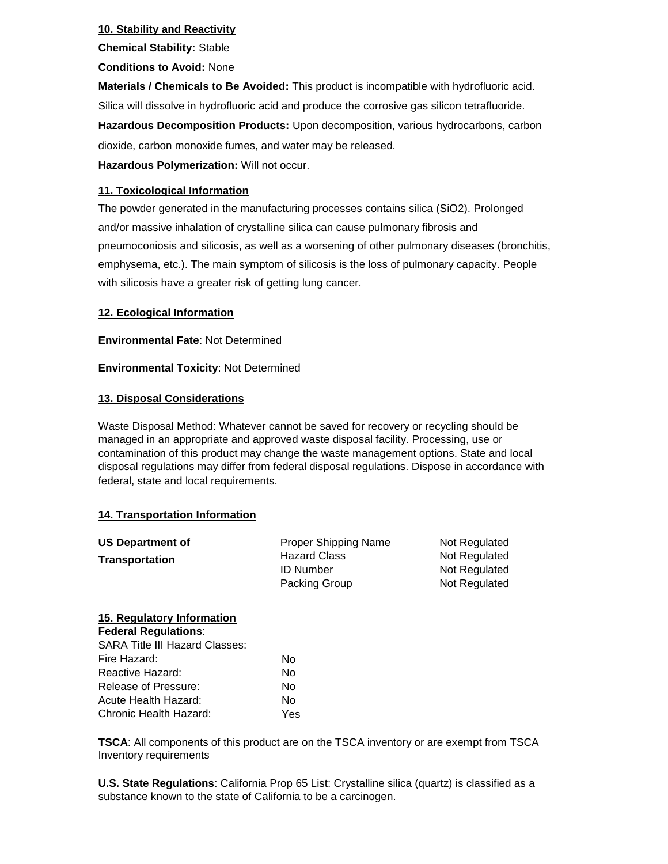# **10. Stability and Reactivity**

**Chemical Stability:** Stable

**Conditions to Avoid:** None

**Materials / Chemicals to Be Avoided:** This product is incompatible with hydrofluoric acid. Silica will dissolve in hydrofluoric acid and produce the corrosive gas silicon tetrafluoride. **Hazardous Decomposition Products:** Upon decomposition, various hydrocarbons, carbon dioxide, carbon monoxide fumes, and water may be released.

**Hazardous Polymerization:** Will not occur.

# **11. Toxicological Information**

The powder generated in the manufacturing processes contains silica (SiO2). Prolonged and/or massive inhalation of crystalline silica can cause pulmonary fibrosis and pneumoconiosis and silicosis, as well as a worsening of other pulmonary diseases (bronchitis, emphysema, etc.). The main symptom of silicosis is the loss of pulmonary capacity. People with silicosis have a greater risk of getting lung cancer.

# **12. Ecological Information**

**Environmental Fate**: Not Determined

**Environmental Toxicity**: Not Determined

# **13. Disposal Considerations**

Waste Disposal Method: Whatever cannot be saved for recovery or recycling should be managed in an appropriate and approved waste disposal facility. Processing, use or contamination of this product may change the waste management options. State and local disposal regulations may differ from federal disposal regulations. Dispose in accordance with federal, state and local requirements.

#### **14. Transportation Information**

| <b>US Department of</b> | <b>Proper Shipping Name</b> | Not Regulated |
|-------------------------|-----------------------------|---------------|
| <b>Transportation</b>   | <b>Hazard Class</b>         | Not Regulated |
|                         | <b>ID Number</b>            | Not Regulated |
|                         | Packing Group               | Not Regulated |

# **15. Regulatory Information**

| <b>Federal Regulations:</b>           |     |
|---------------------------------------|-----|
| <b>SARA Title III Hazard Classes:</b> |     |
| Fire Hazard:                          | N٥  |
| Reactive Hazard:                      | Nο  |
| Release of Pressure:                  | No  |
| Acute Health Hazard:                  | N٥  |
| Chronic Health Hazard:                | Yes |

**TSCA**: All components of this product are on the TSCA inventory or are exempt from TSCA Inventory requirements

**U.S. State Regulations**: California Prop 65 List: Crystalline silica (quartz) is classified as a substance known to the state of California to be a carcinogen.